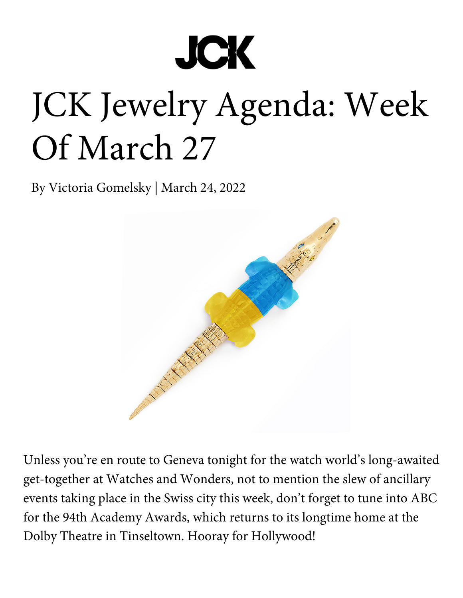

# JCK Jewelry Agenda: Week Of March 27

By Victoria Gomelsky | March 24, 2022



Unless you're en route to Geneva tonight for the watch world's long-awaited get-together at Watches and Wonders, not to mention the slew of ancillary events taking place in the Swiss city this week, don't forget to tune into ABC for the 94th Academy Awards, which returns to its longtime home at the Dolby Theatre in Tinseltown. Hooray for Hollywood!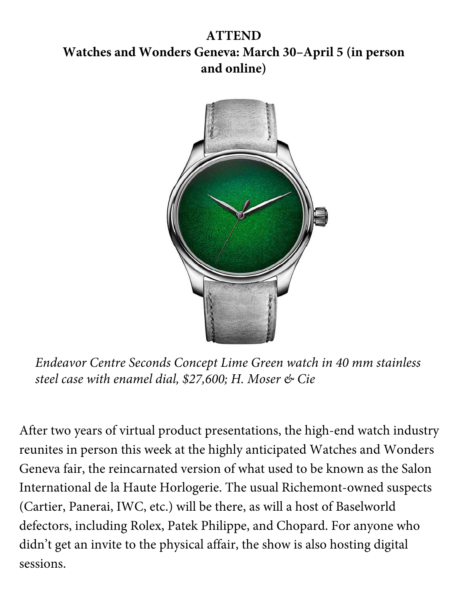# **ATTEND Watches and Wonders Geneva: March 30–April 5 (in person and online)**



*Endeavor Centre Seconds Concept Lime Green watch in 40 mm stainless steel case with enamel dial, \$27,600; H. Moser & Cie*

After two years of virtual product presentations, the high-end watch industry reunites in person this week at the highly anticipated Watches and Wonders Geneva fair, the reincarnated version of what used to be known as the Salon International de la Haute Horlogerie. The usual Richemont-owned suspects (Cartier, Panerai, IWC, etc.) will be there, as will a host of Baselworld defectors, including Rolex, Patek Philippe, and Chopard. For anyone who didn't get an invite to the physical affair, the show is also hosting digital sessions.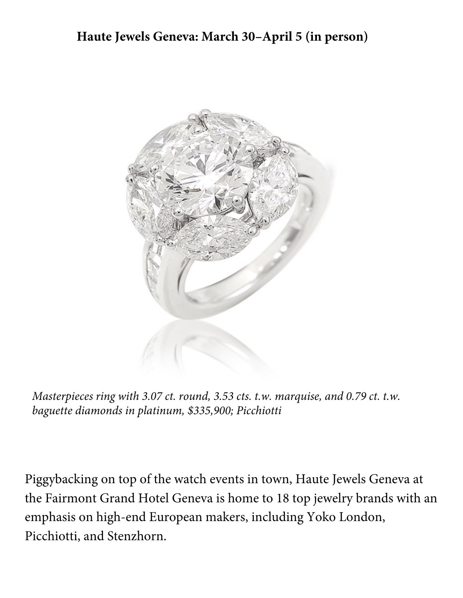#### **Haute Jewels Geneva: March 30–April 5 (in person)**



*Masterpieces ring with 3.07 ct. round, 3.53 cts. t.w. marquise, and 0.79 ct. t.w. baguette diamonds in platinum, \$335,900; Picchiotti*

Piggybacking on top of the watch events in town, Haute Jewels Geneva at the Fairmont Grand Hotel Geneva is home to 18 top jewelry brands with an emphasis on high-end European makers, including Yoko London, Picchiotti, and Stenzhorn.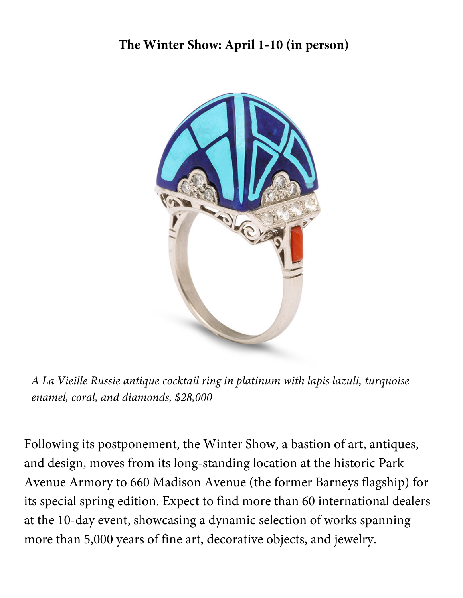## **The Winter Show: April 1-10 (in person)**



*A La Vieille Russie antique cocktail ring in platinum with lapis lazuli, turquoise enamel, coral, and diamonds, \$28,000*

Following its postponement, the Winter Show, a bastion of art, antiques, and design, moves from its long-standing location at the historic Park Avenue Armory to 660 Madison Avenue (the former Barneys flagship) for its special spring edition. Expect to find more than 60 international dealers at the 10-day event, showcasing a dynamic selection of works spanning more than 5,000 years of fine art, decorative objects, and jewelry.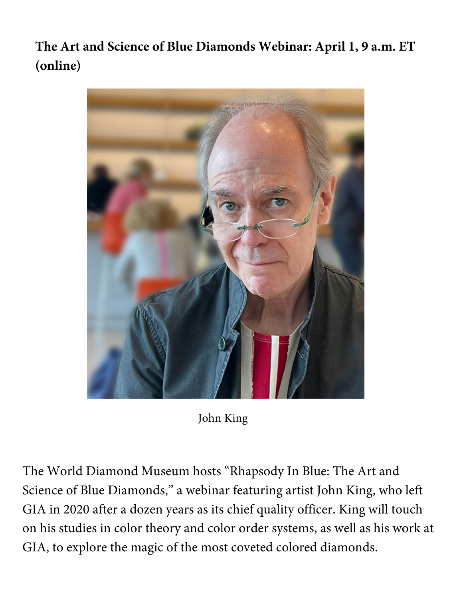**The Art and Science of Blue Diamonds Webinar: April 1, 9 a.m. ET (online)**



John King

The World Diamond Museum hosts "Rhapsody In Blue: The Art and Science of Blue Diamonds," a webinar featuring artist John King, who left GIA in 2020 after a dozen years as its chief quality officer. King will touch on his studies in color theory and color order systems, as well as his work at GIA, to explore the magic of the most coveted colored diamonds.